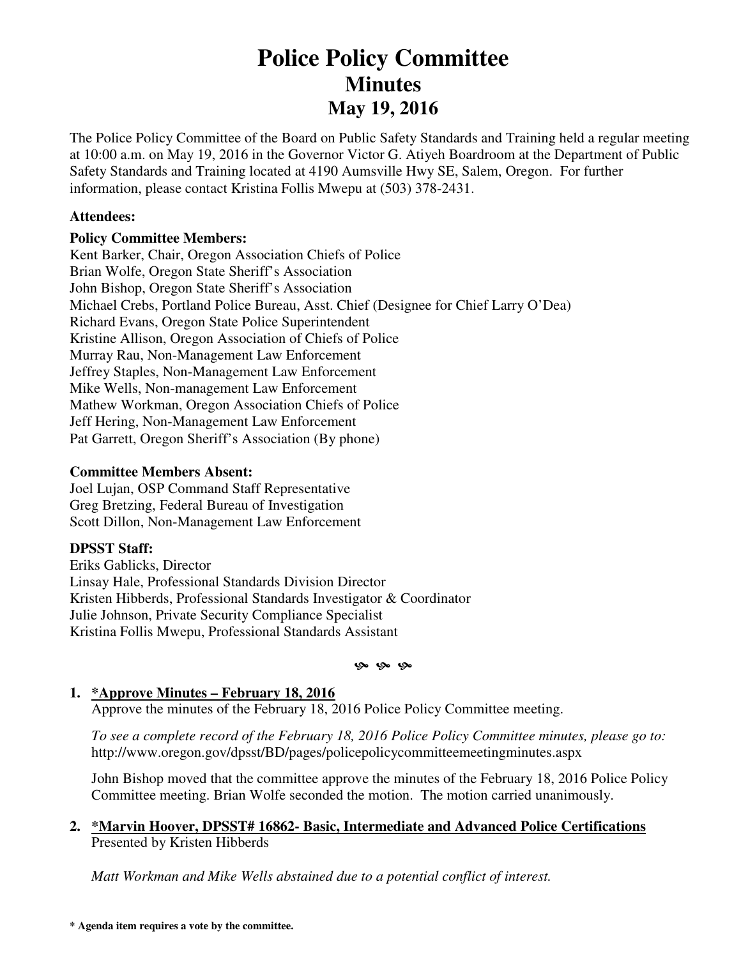# **Police Policy Committee Minutes May 19, 2016**

The Police Policy Committee of the Board on Public Safety Standards and Training held a regular meeting at 10:00 a.m. on May 19, 2016 in the Governor Victor G. Atiyeh Boardroom at the Department of Public Safety Standards and Training located at 4190 Aumsville Hwy SE, Salem, Oregon. For further information, please contact Kristina Follis Mwepu at (503) 378-2431.

#### **Attendees:**

#### **Policy Committee Members:**

Kent Barker, Chair, Oregon Association Chiefs of Police Brian Wolfe, Oregon State Sheriff's Association John Bishop, Oregon State Sheriff's Association Michael Crebs, Portland Police Bureau, Asst. Chief (Designee for Chief Larry O'Dea) Richard Evans, Oregon State Police Superintendent Kristine Allison, Oregon Association of Chiefs of Police Murray Rau, Non-Management Law Enforcement Jeffrey Staples, Non-Management Law Enforcement Mike Wells, Non-management Law Enforcement Mathew Workman, Oregon Association Chiefs of Police Jeff Hering, Non-Management Law Enforcement Pat Garrett, Oregon Sheriff's Association (By phone)

#### **Committee Members Absent:**

Joel Lujan, OSP Command Staff Representative Greg Bretzing, Federal Bureau of Investigation Scott Dillon, Non-Management Law Enforcement

# **DPSST Staff:**

Eriks Gablicks, Director Linsay Hale, Professional Standards Division Director Kristen Hibberds, Professional Standards Investigator & Coordinator Julie Johnson, Private Security Compliance Specialist Kristina Follis Mwepu, Professional Standards Assistant

#### **9** 9 9

# **1. \*Approve Minutes – February 18, 2016**

Approve the minutes of the February 18, 2016 Police Policy Committee meeting.

*To see a complete record of the February 18, 2016 Police Policy Committee minutes, please go to:*  http://www.oregon.gov/dpsst/BD/pages/policepolicycommitteemeetingminutes.aspx

John Bishop moved that the committee approve the minutes of the February 18, 2016 Police Policy Committee meeting. Brian Wolfe seconded the motion. The motion carried unanimously.

#### **2. \*Marvin Hoover, DPSST# 16862- Basic, Intermediate and Advanced Police Certifications**  Presented by Kristen Hibberds

*Matt Workman and Mike Wells abstained due to a potential conflict of interest.*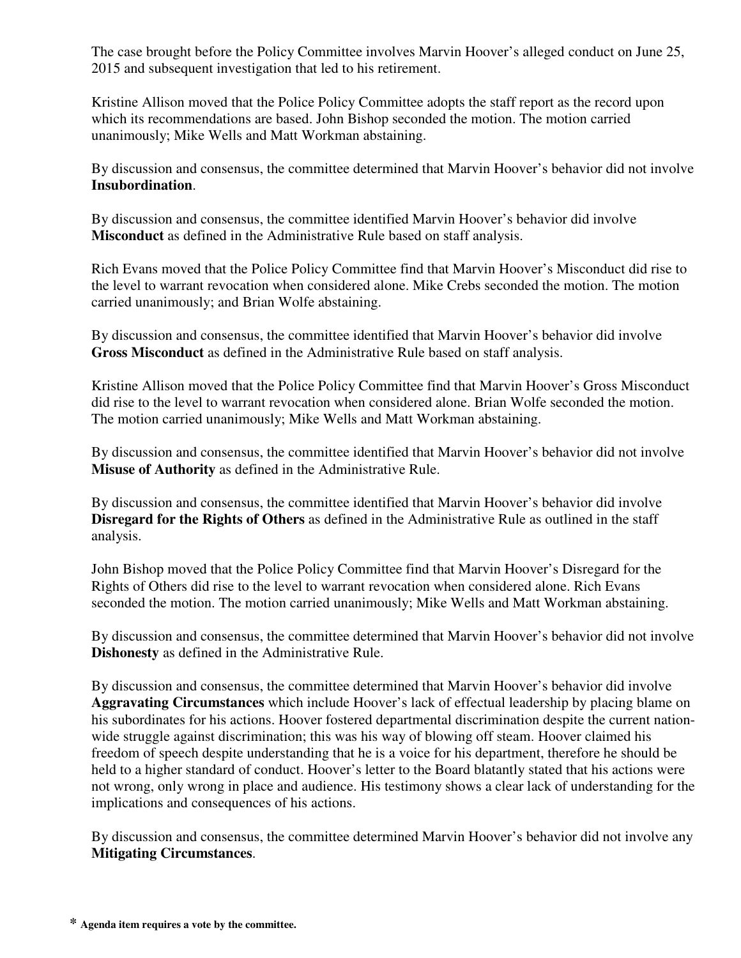The case brought before the Policy Committee involves Marvin Hoover's alleged conduct on June 25, 2015 and subsequent investigation that led to his retirement.

Kristine Allison moved that the Police Policy Committee adopts the staff report as the record upon which its recommendations are based. John Bishop seconded the motion. The motion carried unanimously; Mike Wells and Matt Workman abstaining.

By discussion and consensus, the committee determined that Marvin Hoover's behavior did not involve **Insubordination**.

By discussion and consensus, the committee identified Marvin Hoover's behavior did involve **Misconduct** as defined in the Administrative Rule based on staff analysis.

Rich Evans moved that the Police Policy Committee find that Marvin Hoover's Misconduct did rise to the level to warrant revocation when considered alone. Mike Crebs seconded the motion. The motion carried unanimously; and Brian Wolfe abstaining.

By discussion and consensus, the committee identified that Marvin Hoover's behavior did involve **Gross Misconduct** as defined in the Administrative Rule based on staff analysis.

Kristine Allison moved that the Police Policy Committee find that Marvin Hoover's Gross Misconduct did rise to the level to warrant revocation when considered alone. Brian Wolfe seconded the motion. The motion carried unanimously; Mike Wells and Matt Workman abstaining.

By discussion and consensus, the committee identified that Marvin Hoover's behavior did not involve **Misuse of Authority** as defined in the Administrative Rule.

By discussion and consensus, the committee identified that Marvin Hoover's behavior did involve **Disregard for the Rights of Others** as defined in the Administrative Rule as outlined in the staff analysis.

John Bishop moved that the Police Policy Committee find that Marvin Hoover's Disregard for the Rights of Others did rise to the level to warrant revocation when considered alone. Rich Evans seconded the motion. The motion carried unanimously; Mike Wells and Matt Workman abstaining.

By discussion and consensus, the committee determined that Marvin Hoover's behavior did not involve **Dishonesty** as defined in the Administrative Rule.

By discussion and consensus, the committee determined that Marvin Hoover's behavior did involve **Aggravating Circumstances** which include Hoover's lack of effectual leadership by placing blame on his subordinates for his actions. Hoover fostered departmental discrimination despite the current nationwide struggle against discrimination; this was his way of blowing off steam. Hoover claimed his freedom of speech despite understanding that he is a voice for his department, therefore he should be held to a higher standard of conduct. Hoover's letter to the Board blatantly stated that his actions were not wrong, only wrong in place and audience. His testimony shows a clear lack of understanding for the implications and consequences of his actions.

By discussion and consensus, the committee determined Marvin Hoover's behavior did not involve any **Mitigating Circumstances**.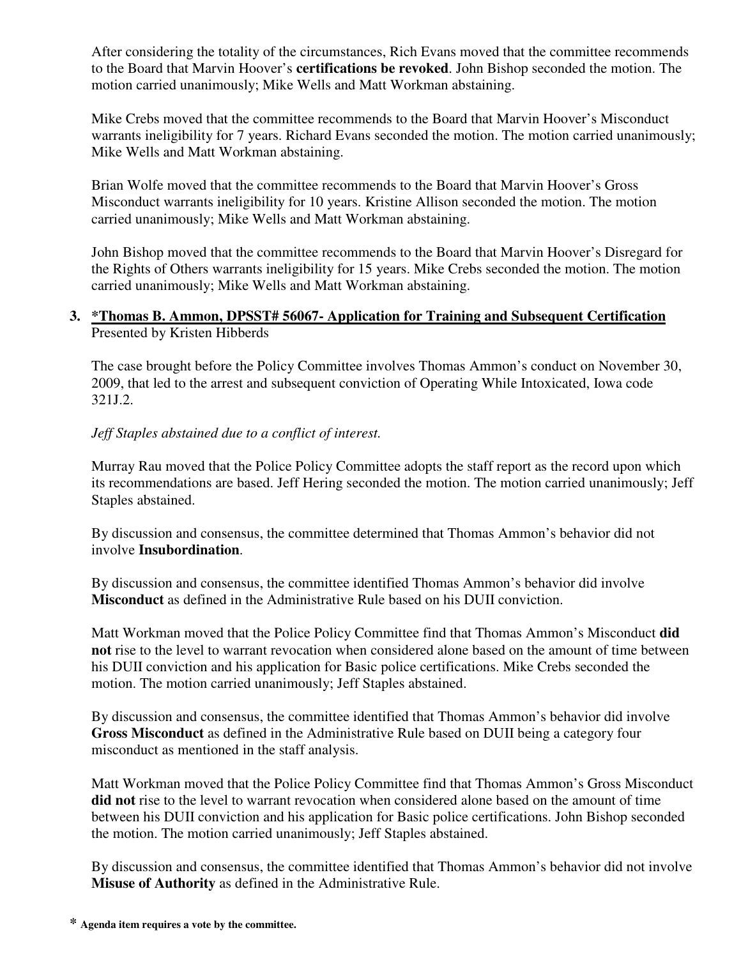After considering the totality of the circumstances, Rich Evans moved that the committee recommends to the Board that Marvin Hoover's **certifications be revoked**. John Bishop seconded the motion. The motion carried unanimously; Mike Wells and Matt Workman abstaining.

Mike Crebs moved that the committee recommends to the Board that Marvin Hoover's Misconduct warrants ineligibility for 7 years. Richard Evans seconded the motion. The motion carried unanimously; Mike Wells and Matt Workman abstaining.

Brian Wolfe moved that the committee recommends to the Board that Marvin Hoover's Gross Misconduct warrants ineligibility for 10 years. Kristine Allison seconded the motion. The motion carried unanimously; Mike Wells and Matt Workman abstaining.

John Bishop moved that the committee recommends to the Board that Marvin Hoover's Disregard for the Rights of Others warrants ineligibility for 15 years. Mike Crebs seconded the motion. The motion carried unanimously; Mike Wells and Matt Workman abstaining.

# **3. \*Thomas B. Ammon, DPSST# 56067- Application for Training and Subsequent Certification**  Presented by Kristen Hibberds

The case brought before the Policy Committee involves Thomas Ammon's conduct on November 30, 2009, that led to the arrest and subsequent conviction of Operating While Intoxicated, Iowa code 321J.2.

# *Jeff Staples abstained due to a conflict of interest.*

Murray Rau moved that the Police Policy Committee adopts the staff report as the record upon which its recommendations are based. Jeff Hering seconded the motion. The motion carried unanimously; Jeff Staples abstained.

By discussion and consensus, the committee determined that Thomas Ammon's behavior did not involve **Insubordination**.

By discussion and consensus, the committee identified Thomas Ammon's behavior did involve **Misconduct** as defined in the Administrative Rule based on his DUII conviction.

Matt Workman moved that the Police Policy Committee find that Thomas Ammon's Misconduct **did not** rise to the level to warrant revocation when considered alone based on the amount of time between his DUII conviction and his application for Basic police certifications. Mike Crebs seconded the motion. The motion carried unanimously; Jeff Staples abstained.

By discussion and consensus, the committee identified that Thomas Ammon's behavior did involve **Gross Misconduct** as defined in the Administrative Rule based on DUII being a category four misconduct as mentioned in the staff analysis.

Matt Workman moved that the Police Policy Committee find that Thomas Ammon's Gross Misconduct **did not** rise to the level to warrant revocation when considered alone based on the amount of time between his DUII conviction and his application for Basic police certifications. John Bishop seconded the motion. The motion carried unanimously; Jeff Staples abstained.

By discussion and consensus, the committee identified that Thomas Ammon's behavior did not involve **Misuse of Authority** as defined in the Administrative Rule.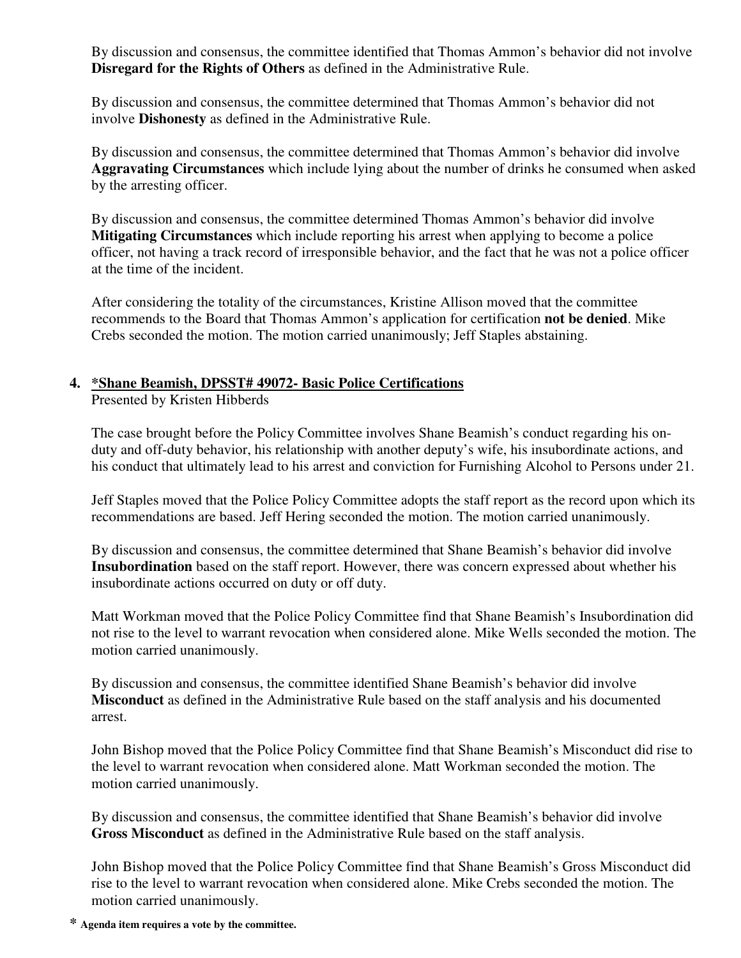By discussion and consensus, the committee identified that Thomas Ammon's behavior did not involve **Disregard for the Rights of Others** as defined in the Administrative Rule.

By discussion and consensus, the committee determined that Thomas Ammon's behavior did not involve **Dishonesty** as defined in the Administrative Rule.

By discussion and consensus, the committee determined that Thomas Ammon's behavior did involve **Aggravating Circumstances** which include lying about the number of drinks he consumed when asked by the arresting officer.

By discussion and consensus, the committee determined Thomas Ammon's behavior did involve **Mitigating Circumstances** which include reporting his arrest when applying to become a police officer, not having a track record of irresponsible behavior, and the fact that he was not a police officer at the time of the incident.

After considering the totality of the circumstances, Kristine Allison moved that the committee recommends to the Board that Thomas Ammon's application for certification **not be denied**. Mike Crebs seconded the motion. The motion carried unanimously; Jeff Staples abstaining.

# **4. \*Shane Beamish, DPSST# 49072- Basic Police Certifications**

Presented by Kristen Hibberds

The case brought before the Policy Committee involves Shane Beamish's conduct regarding his onduty and off-duty behavior, his relationship with another deputy's wife, his insubordinate actions, and his conduct that ultimately lead to his arrest and conviction for Furnishing Alcohol to Persons under 21.

Jeff Staples moved that the Police Policy Committee adopts the staff report as the record upon which its recommendations are based. Jeff Hering seconded the motion. The motion carried unanimously.

By discussion and consensus, the committee determined that Shane Beamish's behavior did involve **Insubordination** based on the staff report. However, there was concern expressed about whether his insubordinate actions occurred on duty or off duty.

Matt Workman moved that the Police Policy Committee find that Shane Beamish's Insubordination did not rise to the level to warrant revocation when considered alone. Mike Wells seconded the motion. The motion carried unanimously.

By discussion and consensus, the committee identified Shane Beamish's behavior did involve **Misconduct** as defined in the Administrative Rule based on the staff analysis and his documented arrest.

John Bishop moved that the Police Policy Committee find that Shane Beamish's Misconduct did rise to the level to warrant revocation when considered alone. Matt Workman seconded the motion. The motion carried unanimously.

By discussion and consensus, the committee identified that Shane Beamish's behavior did involve **Gross Misconduct** as defined in the Administrative Rule based on the staff analysis.

John Bishop moved that the Police Policy Committee find that Shane Beamish's Gross Misconduct did rise to the level to warrant revocation when considered alone. Mike Crebs seconded the motion. The motion carried unanimously.

**\* Agenda item requires a vote by the committee.**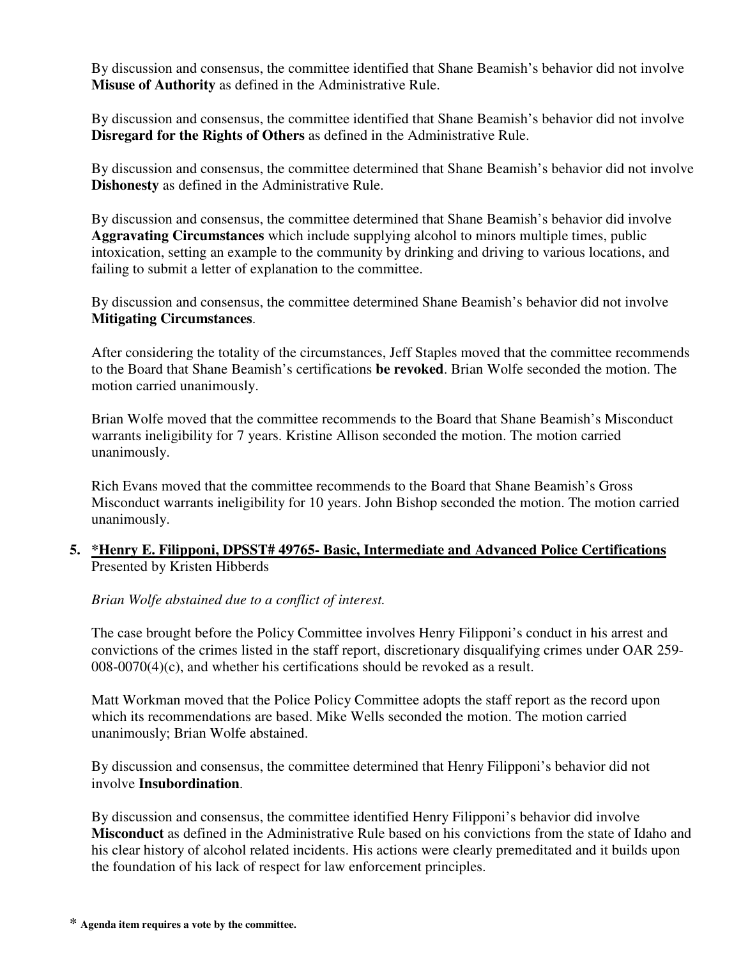By discussion and consensus, the committee identified that Shane Beamish's behavior did not involve **Misuse of Authority** as defined in the Administrative Rule.

By discussion and consensus, the committee identified that Shane Beamish's behavior did not involve **Disregard for the Rights of Others** as defined in the Administrative Rule.

By discussion and consensus, the committee determined that Shane Beamish's behavior did not involve **Dishonesty** as defined in the Administrative Rule.

By discussion and consensus, the committee determined that Shane Beamish's behavior did involve **Aggravating Circumstances** which include supplying alcohol to minors multiple times, public intoxication, setting an example to the community by drinking and driving to various locations, and failing to submit a letter of explanation to the committee.

By discussion and consensus, the committee determined Shane Beamish's behavior did not involve **Mitigating Circumstances**.

After considering the totality of the circumstances, Jeff Staples moved that the committee recommends to the Board that Shane Beamish's certifications **be revoked**. Brian Wolfe seconded the motion. The motion carried unanimously.

Brian Wolfe moved that the committee recommends to the Board that Shane Beamish's Misconduct warrants ineligibility for 7 years. Kristine Allison seconded the motion. The motion carried unanimously.

Rich Evans moved that the committee recommends to the Board that Shane Beamish's Gross Misconduct warrants ineligibility for 10 years. John Bishop seconded the motion. The motion carried unanimously.

# **5. \*Henry E. Filipponi, DPSST# 49765- Basic, Intermediate and Advanced Police Certifications**  Presented by Kristen Hibberds

*Brian Wolfe abstained due to a conflict of interest.* 

The case brought before the Policy Committee involves Henry Filipponi's conduct in his arrest and convictions of the crimes listed in the staff report, discretionary disqualifying crimes under OAR 259- 008-0070(4)(c), and whether his certifications should be revoked as a result.

Matt Workman moved that the Police Policy Committee adopts the staff report as the record upon which its recommendations are based. Mike Wells seconded the motion. The motion carried unanimously; Brian Wolfe abstained.

By discussion and consensus, the committee determined that Henry Filipponi's behavior did not involve **Insubordination**.

By discussion and consensus, the committee identified Henry Filipponi's behavior did involve **Misconduct** as defined in the Administrative Rule based on his convictions from the state of Idaho and his clear history of alcohol related incidents. His actions were clearly premeditated and it builds upon the foundation of his lack of respect for law enforcement principles.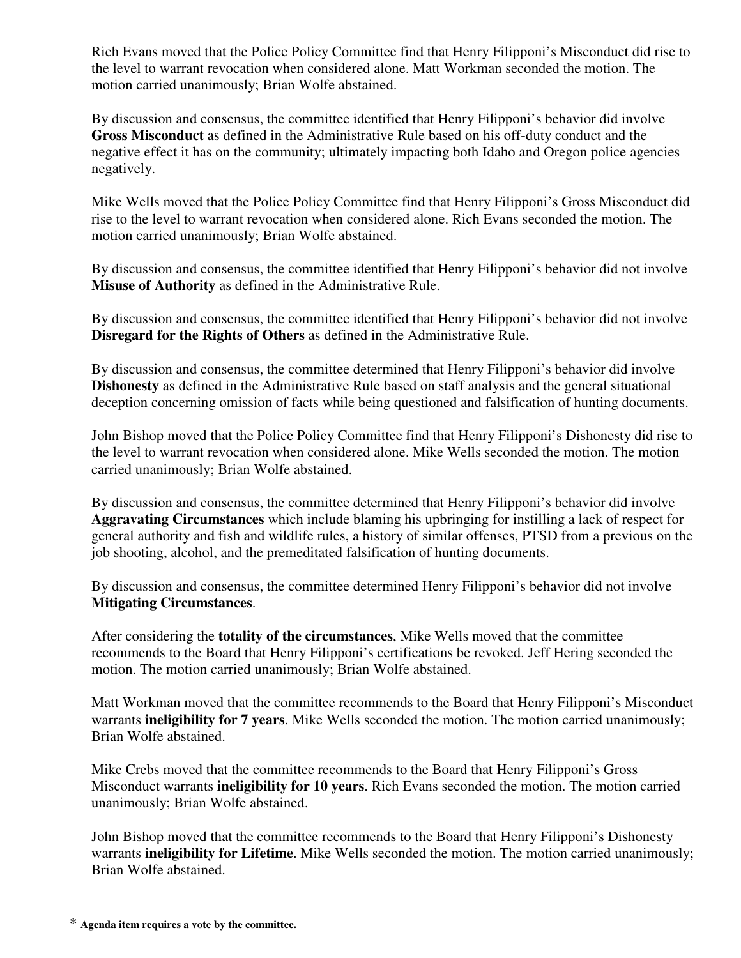Rich Evans moved that the Police Policy Committee find that Henry Filipponi's Misconduct did rise to the level to warrant revocation when considered alone. Matt Workman seconded the motion. The motion carried unanimously; Brian Wolfe abstained.

By discussion and consensus, the committee identified that Henry Filipponi's behavior did involve **Gross Misconduct** as defined in the Administrative Rule based on his off-duty conduct and the negative effect it has on the community; ultimately impacting both Idaho and Oregon police agencies negatively.

Mike Wells moved that the Police Policy Committee find that Henry Filipponi's Gross Misconduct did rise to the level to warrant revocation when considered alone. Rich Evans seconded the motion. The motion carried unanimously; Brian Wolfe abstained.

By discussion and consensus, the committee identified that Henry Filipponi's behavior did not involve **Misuse of Authority** as defined in the Administrative Rule.

By discussion and consensus, the committee identified that Henry Filipponi's behavior did not involve **Disregard for the Rights of Others** as defined in the Administrative Rule.

By discussion and consensus, the committee determined that Henry Filipponi's behavior did involve **Dishonesty** as defined in the Administrative Rule based on staff analysis and the general situational deception concerning omission of facts while being questioned and falsification of hunting documents.

John Bishop moved that the Police Policy Committee find that Henry Filipponi's Dishonesty did rise to the level to warrant revocation when considered alone. Mike Wells seconded the motion. The motion carried unanimously; Brian Wolfe abstained.

By discussion and consensus, the committee determined that Henry Filipponi's behavior did involve **Aggravating Circumstances** which include blaming his upbringing for instilling a lack of respect for general authority and fish and wildlife rules, a history of similar offenses, PTSD from a previous on the job shooting, alcohol, and the premeditated falsification of hunting documents.

By discussion and consensus, the committee determined Henry Filipponi's behavior did not involve **Mitigating Circumstances**.

After considering the **totality of the circumstances**, Mike Wells moved that the committee recommends to the Board that Henry Filipponi's certifications be revoked. Jeff Hering seconded the motion. The motion carried unanimously; Brian Wolfe abstained.

Matt Workman moved that the committee recommends to the Board that Henry Filipponi's Misconduct warrants **ineligibility for 7 years**. Mike Wells seconded the motion. The motion carried unanimously; Brian Wolfe abstained.

Mike Crebs moved that the committee recommends to the Board that Henry Filipponi's Gross Misconduct warrants **ineligibility for 10 years**. Rich Evans seconded the motion. The motion carried unanimously; Brian Wolfe abstained.

John Bishop moved that the committee recommends to the Board that Henry Filipponi's Dishonesty warrants **ineligibility for Lifetime**. Mike Wells seconded the motion. The motion carried unanimously; Brian Wolfe abstained.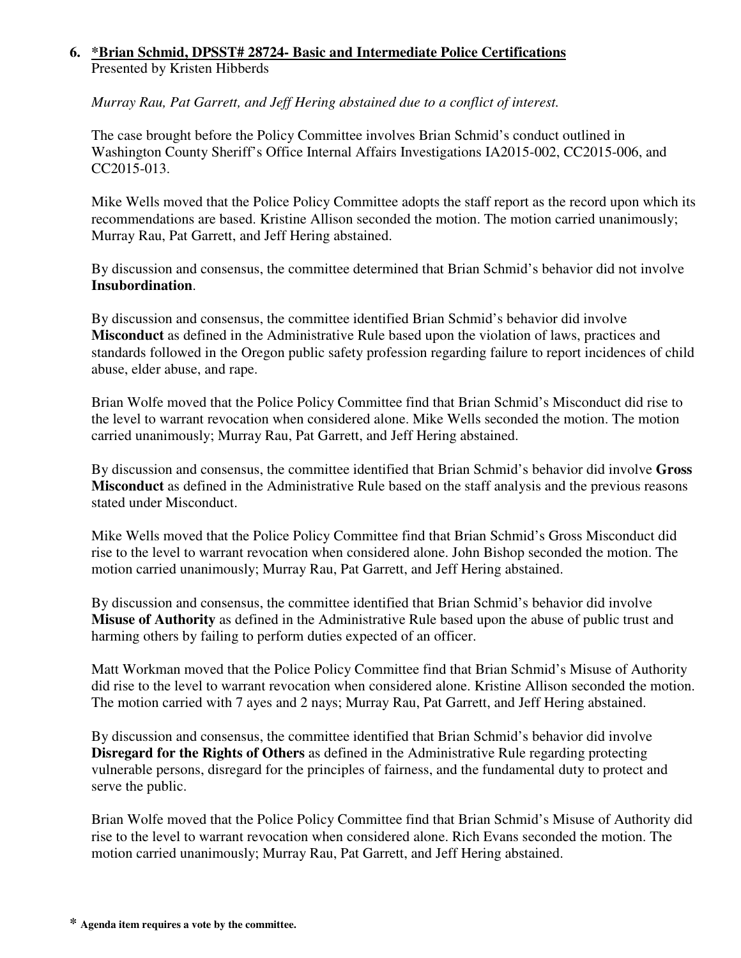# **6. \*Brian Schmid, DPSST# 28724- Basic and Intermediate Police Certifications**  Presented by Kristen Hibberds

*Murray Rau, Pat Garrett, and Jeff Hering abstained due to a conflict of interest.* 

The case brought before the Policy Committee involves Brian Schmid's conduct outlined in Washington County Sheriff's Office Internal Affairs Investigations IA2015-002, CC2015-006, and CC2015-013.

Mike Wells moved that the Police Policy Committee adopts the staff report as the record upon which its recommendations are based. Kristine Allison seconded the motion. The motion carried unanimously; Murray Rau, Pat Garrett, and Jeff Hering abstained.

By discussion and consensus, the committee determined that Brian Schmid's behavior did not involve **Insubordination**.

By discussion and consensus, the committee identified Brian Schmid's behavior did involve **Misconduct** as defined in the Administrative Rule based upon the violation of laws, practices and standards followed in the Oregon public safety profession regarding failure to report incidences of child abuse, elder abuse, and rape.

Brian Wolfe moved that the Police Policy Committee find that Brian Schmid's Misconduct did rise to the level to warrant revocation when considered alone. Mike Wells seconded the motion. The motion carried unanimously; Murray Rau, Pat Garrett, and Jeff Hering abstained.

By discussion and consensus, the committee identified that Brian Schmid's behavior did involve **Gross Misconduct** as defined in the Administrative Rule based on the staff analysis and the previous reasons stated under Misconduct.

Mike Wells moved that the Police Policy Committee find that Brian Schmid's Gross Misconduct did rise to the level to warrant revocation when considered alone. John Bishop seconded the motion. The motion carried unanimously; Murray Rau, Pat Garrett, and Jeff Hering abstained.

By discussion and consensus, the committee identified that Brian Schmid's behavior did involve **Misuse of Authority** as defined in the Administrative Rule based upon the abuse of public trust and harming others by failing to perform duties expected of an officer.

Matt Workman moved that the Police Policy Committee find that Brian Schmid's Misuse of Authority did rise to the level to warrant revocation when considered alone. Kristine Allison seconded the motion. The motion carried with 7 ayes and 2 nays; Murray Rau, Pat Garrett, and Jeff Hering abstained.

By discussion and consensus, the committee identified that Brian Schmid's behavior did involve **Disregard for the Rights of Others** as defined in the Administrative Rule regarding protecting vulnerable persons, disregard for the principles of fairness, and the fundamental duty to protect and serve the public.

Brian Wolfe moved that the Police Policy Committee find that Brian Schmid's Misuse of Authority did rise to the level to warrant revocation when considered alone. Rich Evans seconded the motion. The motion carried unanimously; Murray Rau, Pat Garrett, and Jeff Hering abstained.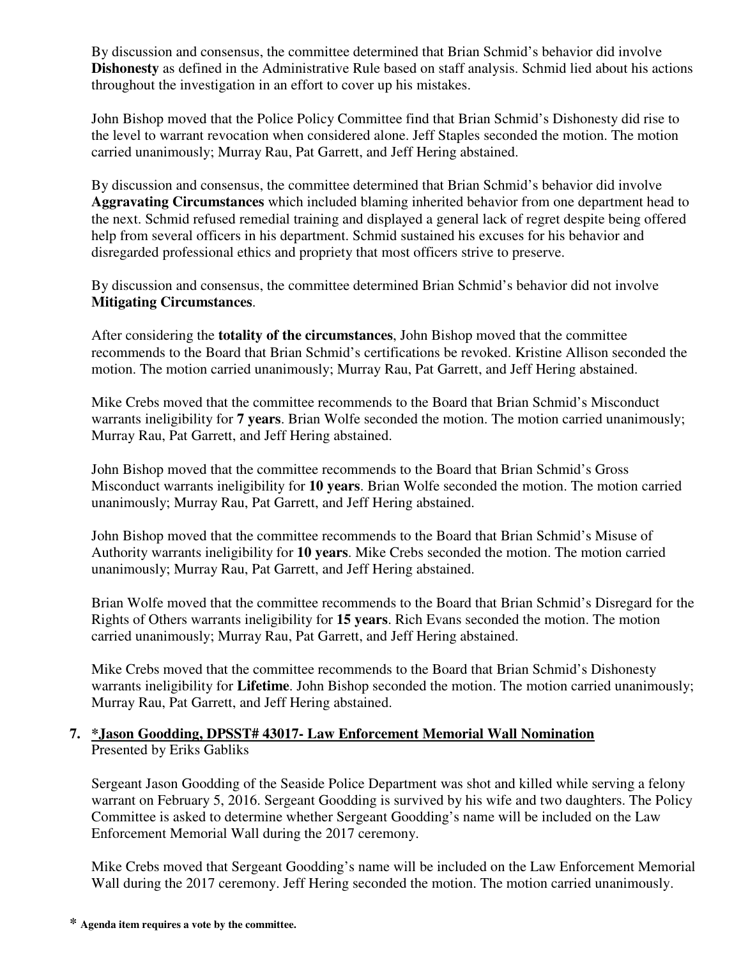By discussion and consensus, the committee determined that Brian Schmid's behavior did involve **Dishonesty** as defined in the Administrative Rule based on staff analysis. Schmid lied about his actions throughout the investigation in an effort to cover up his mistakes.

John Bishop moved that the Police Policy Committee find that Brian Schmid's Dishonesty did rise to the level to warrant revocation when considered alone. Jeff Staples seconded the motion. The motion carried unanimously; Murray Rau, Pat Garrett, and Jeff Hering abstained.

By discussion and consensus, the committee determined that Brian Schmid's behavior did involve **Aggravating Circumstances** which included blaming inherited behavior from one department head to the next. Schmid refused remedial training and displayed a general lack of regret despite being offered help from several officers in his department. Schmid sustained his excuses for his behavior and disregarded professional ethics and propriety that most officers strive to preserve.

By discussion and consensus, the committee determined Brian Schmid's behavior did not involve **Mitigating Circumstances**.

After considering the **totality of the circumstances**, John Bishop moved that the committee recommends to the Board that Brian Schmid's certifications be revoked. Kristine Allison seconded the motion. The motion carried unanimously; Murray Rau, Pat Garrett, and Jeff Hering abstained.

Mike Crebs moved that the committee recommends to the Board that Brian Schmid's Misconduct warrants ineligibility for **7 years**. Brian Wolfe seconded the motion. The motion carried unanimously; Murray Rau, Pat Garrett, and Jeff Hering abstained.

John Bishop moved that the committee recommends to the Board that Brian Schmid's Gross Misconduct warrants ineligibility for **10 years**. Brian Wolfe seconded the motion. The motion carried unanimously; Murray Rau, Pat Garrett, and Jeff Hering abstained.

John Bishop moved that the committee recommends to the Board that Brian Schmid's Misuse of Authority warrants ineligibility for **10 years**. Mike Crebs seconded the motion. The motion carried unanimously; Murray Rau, Pat Garrett, and Jeff Hering abstained.

Brian Wolfe moved that the committee recommends to the Board that Brian Schmid's Disregard for the Rights of Others warrants ineligibility for **15 years**. Rich Evans seconded the motion. The motion carried unanimously; Murray Rau, Pat Garrett, and Jeff Hering abstained.

Mike Crebs moved that the committee recommends to the Board that Brian Schmid's Dishonesty warrants ineligibility for **Lifetime**. John Bishop seconded the motion. The motion carried unanimously; Murray Rau, Pat Garrett, and Jeff Hering abstained.

#### **7. \*Jason Goodding, DPSST# 43017- Law Enforcement Memorial Wall Nomination**  Presented by Eriks Gabliks

Sergeant Jason Goodding of the Seaside Police Department was shot and killed while serving a felony warrant on February 5, 2016. Sergeant Goodding is survived by his wife and two daughters. The Policy Committee is asked to determine whether Sergeant Goodding's name will be included on the Law Enforcement Memorial Wall during the 2017 ceremony.

Mike Crebs moved that Sergeant Goodding's name will be included on the Law Enforcement Memorial Wall during the 2017 ceremony. Jeff Hering seconded the motion. The motion carried unanimously.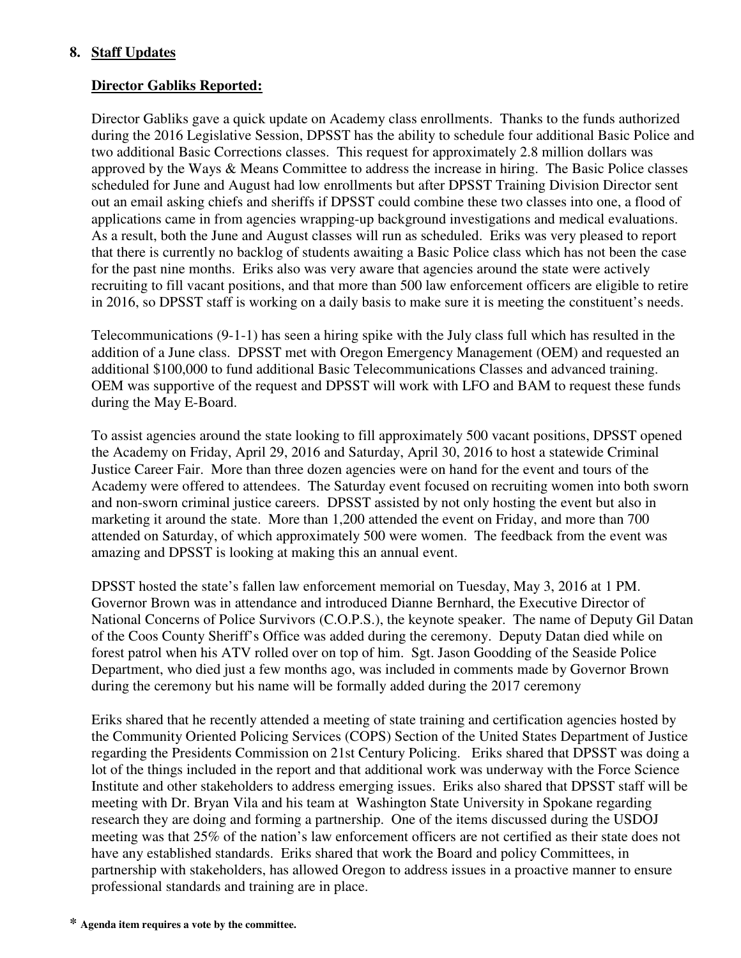# **8. Staff Updates**

# **Director Gabliks Reported:**

Director Gabliks gave a quick update on Academy class enrollments. Thanks to the funds authorized during the 2016 Legislative Session, DPSST has the ability to schedule four additional Basic Police and two additional Basic Corrections classes. This request for approximately 2.8 million dollars was approved by the Ways & Means Committee to address the increase in hiring. The Basic Police classes scheduled for June and August had low enrollments but after DPSST Training Division Director sent out an email asking chiefs and sheriffs if DPSST could combine these two classes into one, a flood of applications came in from agencies wrapping-up background investigations and medical evaluations. As a result, both the June and August classes will run as scheduled. Eriks was very pleased to report that there is currently no backlog of students awaiting a Basic Police class which has not been the case for the past nine months. Eriks also was very aware that agencies around the state were actively recruiting to fill vacant positions, and that more than 500 law enforcement officers are eligible to retire in 2016, so DPSST staff is working on a daily basis to make sure it is meeting the constituent's needs.

Telecommunications (9-1-1) has seen a hiring spike with the July class full which has resulted in the addition of a June class. DPSST met with Oregon Emergency Management (OEM) and requested an additional \$100,000 to fund additional Basic Telecommunications Classes and advanced training. OEM was supportive of the request and DPSST will work with LFO and BAM to request these funds during the May E-Board.

To assist agencies around the state looking to fill approximately 500 vacant positions, DPSST opened the Academy on Friday, April 29, 2016 and Saturday, April 30, 2016 to host a statewide Criminal Justice Career Fair. More than three dozen agencies were on hand for the event and tours of the Academy were offered to attendees. The Saturday event focused on recruiting women into both sworn and non-sworn criminal justice careers. DPSST assisted by not only hosting the event but also in marketing it around the state. More than 1,200 attended the event on Friday, and more than 700 attended on Saturday, of which approximately 500 were women. The feedback from the event was amazing and DPSST is looking at making this an annual event.

DPSST hosted the state's fallen law enforcement memorial on Tuesday, May 3, 2016 at 1 PM. Governor Brown was in attendance and introduced Dianne Bernhard, the Executive Director of National Concerns of Police Survivors (C.O.P.S.), the keynote speaker. The name of Deputy Gil Datan of the Coos County Sheriff's Office was added during the ceremony. Deputy Datan died while on forest patrol when his ATV rolled over on top of him. Sgt. Jason Goodding of the Seaside Police Department, who died just a few months ago, was included in comments made by Governor Brown during the ceremony but his name will be formally added during the 2017 ceremony

Eriks shared that he recently attended a meeting of state training and certification agencies hosted by the Community Oriented Policing Services (COPS) Section of the United States Department of Justice regarding the Presidents Commission on 21st Century Policing. Eriks shared that DPSST was doing a lot of the things included in the report and that additional work was underway with the Force Science Institute and other stakeholders to address emerging issues. Eriks also shared that DPSST staff will be meeting with Dr. Bryan Vila and his team at Washington State University in Spokane regarding research they are doing and forming a partnership. One of the items discussed during the USDOJ meeting was that 25% of the nation's law enforcement officers are not certified as their state does not have any established standards. Eriks shared that work the Board and policy Committees, in partnership with stakeholders, has allowed Oregon to address issues in a proactive manner to ensure professional standards and training are in place.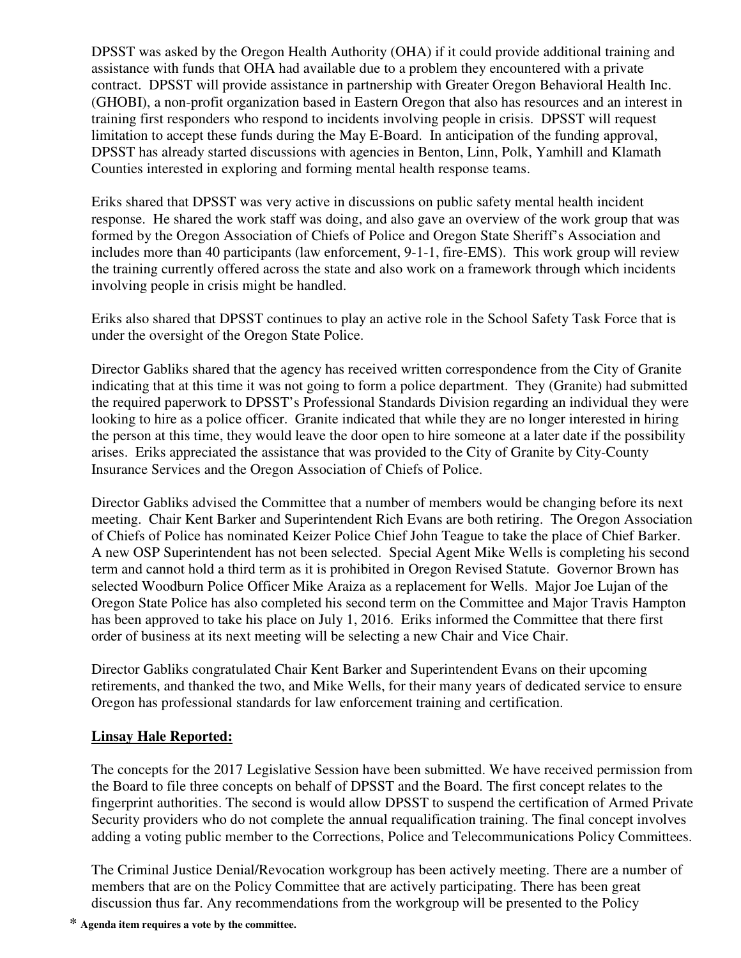DPSST was asked by the Oregon Health Authority (OHA) if it could provide additional training and assistance with funds that OHA had available due to a problem they encountered with a private contract. DPSST will provide assistance in partnership with Greater Oregon Behavioral Health Inc. (GHOBI), a non-profit organization based in Eastern Oregon that also has resources and an interest in training first responders who respond to incidents involving people in crisis. DPSST will request limitation to accept these funds during the May E-Board. In anticipation of the funding approval, DPSST has already started discussions with agencies in Benton, Linn, Polk, Yamhill and Klamath Counties interested in exploring and forming mental health response teams.

Eriks shared that DPSST was very active in discussions on public safety mental health incident response. He shared the work staff was doing, and also gave an overview of the work group that was formed by the Oregon Association of Chiefs of Police and Oregon State Sheriff's Association and includes more than 40 participants (law enforcement, 9-1-1, fire-EMS). This work group will review the training currently offered across the state and also work on a framework through which incidents involving people in crisis might be handled.

Eriks also shared that DPSST continues to play an active role in the School Safety Task Force that is under the oversight of the Oregon State Police.

Director Gabliks shared that the agency has received written correspondence from the City of Granite indicating that at this time it was not going to form a police department. They (Granite) had submitted the required paperwork to DPSST's Professional Standards Division regarding an individual they were looking to hire as a police officer. Granite indicated that while they are no longer interested in hiring the person at this time, they would leave the door open to hire someone at a later date if the possibility arises. Eriks appreciated the assistance that was provided to the City of Granite by City-County Insurance Services and the Oregon Association of Chiefs of Police.

Director Gabliks advised the Committee that a number of members would be changing before its next meeting. Chair Kent Barker and Superintendent Rich Evans are both retiring. The Oregon Association of Chiefs of Police has nominated Keizer Police Chief John Teague to take the place of Chief Barker. A new OSP Superintendent has not been selected. Special Agent Mike Wells is completing his second term and cannot hold a third term as it is prohibited in Oregon Revised Statute. Governor Brown has selected Woodburn Police Officer Mike Araiza as a replacement for Wells. Major Joe Lujan of the Oregon State Police has also completed his second term on the Committee and Major Travis Hampton has been approved to take his place on July 1, 2016. Eriks informed the Committee that there first order of business at its next meeting will be selecting a new Chair and Vice Chair.

Director Gabliks congratulated Chair Kent Barker and Superintendent Evans on their upcoming retirements, and thanked the two, and Mike Wells, for their many years of dedicated service to ensure Oregon has professional standards for law enforcement training and certification.

# **Linsay Hale Reported:**

The concepts for the 2017 Legislative Session have been submitted. We have received permission from the Board to file three concepts on behalf of DPSST and the Board. The first concept relates to the fingerprint authorities. The second is would allow DPSST to suspend the certification of Armed Private Security providers who do not complete the annual requalification training. The final concept involves adding a voting public member to the Corrections, Police and Telecommunications Policy Committees.

The Criminal Justice Denial/Revocation workgroup has been actively meeting. There are a number of members that are on the Policy Committee that are actively participating. There has been great discussion thus far. Any recommendations from the workgroup will be presented to the Policy